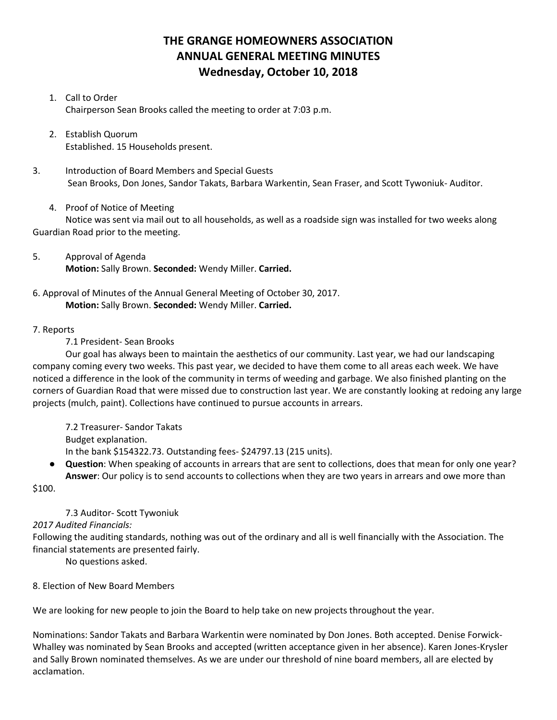# **THE GRANGE HOMEOWNERS ASSOCIATION ANNUAL GENERAL MEETING MINUTES Wednesday, October 10, 2018**

## 1. Call to Order Chairperson Sean Brooks called the meeting to order at 7:03 p.m.

- 2. Establish Quorum Established. 15 Households present.
- 3. Introduction of Board Members and Special Guests Sean Brooks, Don Jones, Sandor Takats, Barbara Warkentin, Sean Fraser, and Scott Tywoniuk- Auditor.
	- 4. Proof of Notice of Meeting

Notice was sent via mail out to all households, as well as a roadside sign was installed for two weeks along Guardian Road prior to the meeting.

- 5. Approval of Agenda **Motion:** Sally Brown. **Seconded:** Wendy Miller. **Carried.**
- 6. Approval of Minutes of the Annual General Meeting of October 30, 2017. **Motion:** Sally Brown. **Seconded:** Wendy Miller. **Carried.**

## 7. Reports

## 7.1 President- Sean Brooks

Our goal has always been to maintain the aesthetics of our community. Last year, we had our landscaping company coming every two weeks. This past year, we decided to have them come to all areas each week. We have noticed a difference in the look of the community in terms of weeding and garbage. We also finished planting on the corners of Guardian Road that were missed due to construction last year. We are constantly looking at redoing any large projects (mulch, paint). Collections have continued to pursue accounts in arrears.

7.2 Treasurer- Sandor Takats Budget explanation. In the bank \$154322.73. Outstanding fees- \$24797.13 (215 units).

● **Question**: When speaking of accounts in arrears that are sent to collections, does that mean for only one year? **Answer**: Our policy is to send accounts to collections when they are two years in arrears and owe more than

\$100.

# 7.3 Auditor- Scott Tywoniuk

# *2017 Audited Financials:*

Following the auditing standards, nothing was out of the ordinary and all is well financially with the Association. The financial statements are presented fairly.

No questions asked.

#### 8. Election of New Board Members

We are looking for new people to join the Board to help take on new projects throughout the year.

Nominations: Sandor Takats and Barbara Warkentin were nominated by Don Jones. Both accepted. Denise Forwick-Whalley was nominated by Sean Brooks and accepted (written acceptance given in her absence). Karen Jones-Krysler and Sally Brown nominated themselves. As we are under our threshold of nine board members, all are elected by acclamation.